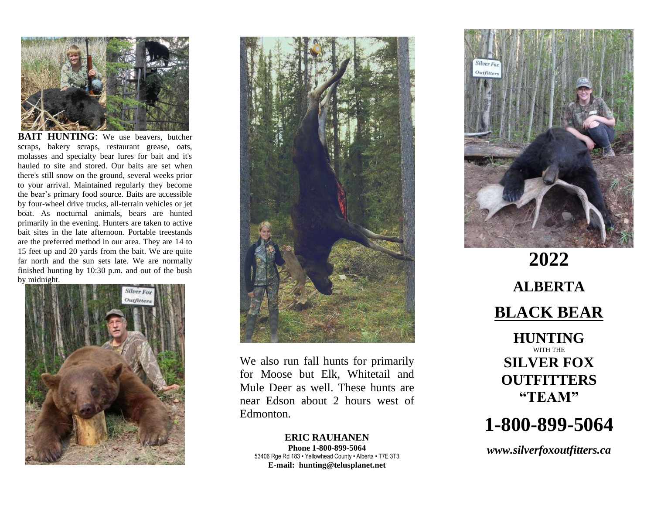

**HUNTING**: We use beavers, butcher scraps, bakery scraps, restaurant grease, oats, molasses and specialty bear lures for bait and it's hauled to site and stored. Our baits are set when there's still snow on the ground, several weeks prior to your arrival. Maintained regularly they become the bear's primary food source. Baits are accessible by four-wheel drive trucks, all-terrain vehicles or jet boat. As nocturnal animals, bears are hunted primarily in the evening. Hunters are taken to active bait sites in the late afternoon. Portable treestands are the preferred method in our area. They are 14 to 15 feet up and 20 yards from the bait. We are quite far north and the sun sets late. We are normally finished hunting by 10:30 p.m. and out of the bush by midnight.





We also run fall hunts for primarily for Moose but Elk, Whitetail and Mule Deer as well. These hunts are near Edson about 2 hours west of Edmonton.

**ERIC RAUHANEN Phone 1-800-899-5064** 53406 Rge Rd 183 • Yellowhead County • Alberta • T7E 3T3 **E-mail: hunting@telusplanet.net**



**2022 ALBERTA BLACK BEAR HUNTING** WITH THE **SILVER FOX OUTFITTERS "TEAM"**

# **1-800-899-5064**

*www.silverfoxoutfitters.ca*